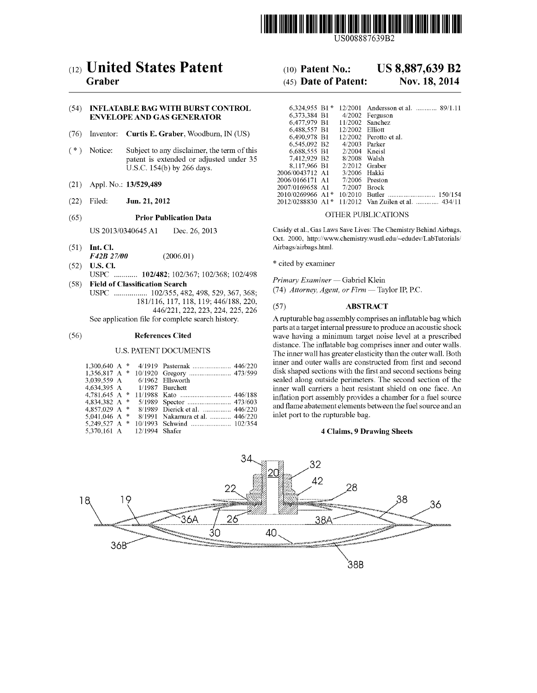

US008887639B2

# (12) United States Patent (10) Patent No.: US 8,887,639 B2<br>Graber (45) Date of Patent: Nov. 18, 2014

# (54) INFLATABLE BAG WITH BURST CONTROL ENVELOPE AND GAS GENERATOR

- (76) Inventor: Curtis E. Graber, Woodburn, IN (US)
- $(*)$  Notice: Subject to any disclaimer, the term of this patent is extended or adjusted under 35 U.S.C. 154(b) by 266 days.
- (21) Appl. No.: 13/529,489
- 

# (65) Prior Publication Data OTHER PUBLICATIONS

- (51) Int. Cl.  $F42B27/00$  (2006.01) Airbags/airbags.html. F42B 27/00
- (52) U.S. Cl. \* cited by examiner USPC ............ 102/482; 102/367; 102/368; 102/498 <br>
(58) Field of Classification Search (59) Field of Classification Search
- (58) Field of Classification Search rimary Examiner-Gabriel Klein USPC ................. 102,355,482,498,529, 367, 368 (74) Attorney, Agent, or Firm —Taylor IP PC. 181/110, 117, 118, 119, 440/188, 220, 446/221, 222, 223, 224, 225, 226 <br>
See application file for complete search history. A rupturable bag assembly comprises

# U.S. PATENT DOCUMENTS

| $1,300,640$ A *                                |  |         |                                 |
|------------------------------------------------|--|---------|---------------------------------|
| 3.039.559 A                                    |  |         | 6/1962 Ellsworth                |
| 4.634.395 A 1/1987 Burchett<br>4.781.645 A $*$ |  |         |                                 |
| 4.834.382 A *                                  |  |         |                                 |
| 4.857.029 A *                                  |  |         | 8/1989 Dierick et al.  446/220  |
| 5.041.046 A $*$                                |  |         | 8/1991 Nakamura et al.  446/220 |
| 5.249.527 A $*$                                |  |         |                                 |
| 5.370.161 A                                    |  | 12/1994 | <b>Shafer</b>                   |

# $(45)$  Date of Patent:

| (54) |         | <b>INFLATABLE BAG WITH BURST CONTROL</b><br><b>ENVELOPE AND GAS GENERATOR</b>                                        | 6,373,384 B1<br>6.477.979 B1                                             |                                                                       | 6.324.955 B1 * $12/2001$ Andersson et al.  89/1.11<br>4/2002 Ferguson<br>$11/2002$ Sanchez |
|------|---------|----------------------------------------------------------------------------------------------------------------------|--------------------------------------------------------------------------|-----------------------------------------------------------------------|--------------------------------------------------------------------------------------------|
| (76) |         | Inventor: Curtis E. Graber, Woodburn, IN (US)                                                                        | 6,488,557 B1<br>6.490.978 B1                                             | 12/2002 Elliott                                                       | $12/2002$ Perotto et al.                                                                   |
| (*   | Notice: | Subject to any disclaimer, the term of this<br>patent is extended or adjusted under 35<br>U.S.C. 154(b) by 266 days. | 6,545,092 B <sub>2</sub><br>6,688,555 B1<br>7.412.929 B2<br>8.117.966 B1 | $4/2003$ Parker<br>$2/2004$ Kneisl<br>8/2008 Walsh<br>$2/2012$ Graber |                                                                                            |
| (21) |         | Appl. No.: 13/529,489                                                                                                | 2006/0043712 A1<br>2006/0166171 A1<br>2007/0169658 A1                    | 3/2006 Hakki<br>7/2007 Brock                                          | $7/2006$ Preston                                                                           |
| (22) | Filed:  | Jun. 21, 2012                                                                                                        |                                                                          |                                                                       | 150/154<br>2012/0288830 A1* 11/2012 Van Zuilen et al.  434/11                              |

US 2013/034O645A1 Dec. 26, 2013 Casidy et al., Gas Laws Save Lives: The Chemistry Behind Airbags, Oct. 2000, http://www.chemistry.wustl.edu/~edudev/LabTutorials/

A rupturable bag assembly comprises an inflatable bag which parts at a target internal pressure to produce an acoustic shock (56) References Cited wave having a minimum target noise level at a prescribed distance. The inflatable bag comprises inner and outer walls. The inner wall has greater elasticity than the outer wall. Both inner and outer walls are constructed from first and second disk shaped sections with the first and second sections being sealed along outside perimeters. The second section of the inner wall carriers a heat resistant shield on one face. An inflation port assembly provides a chamber for a fuel source and flame abatement elements between the fuel source and an inlet port to the rupturable bag.

# 4 Claims, 9 Drawing Sheets

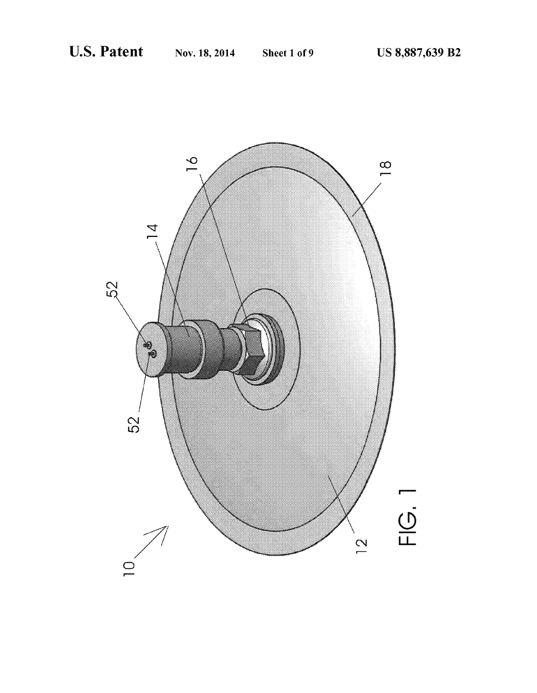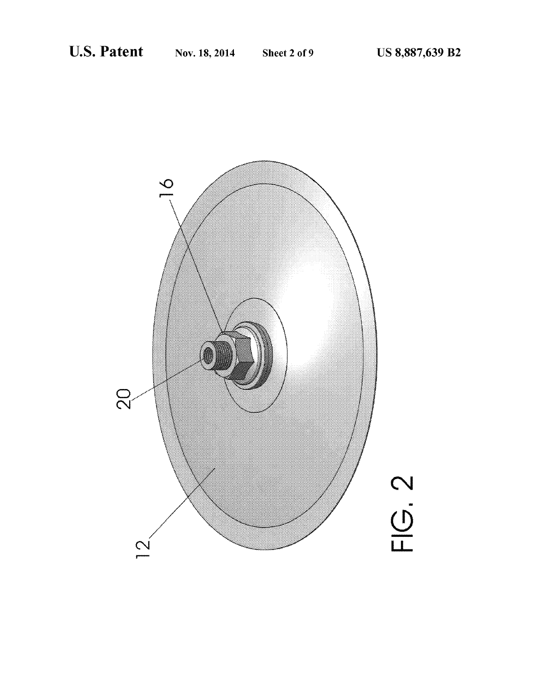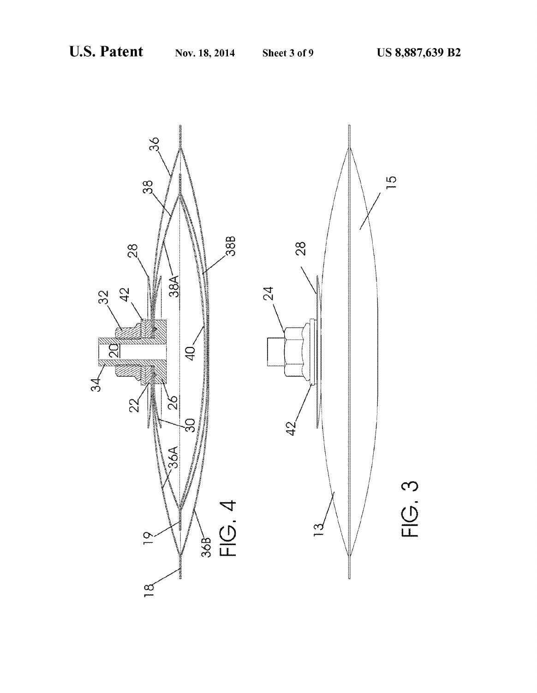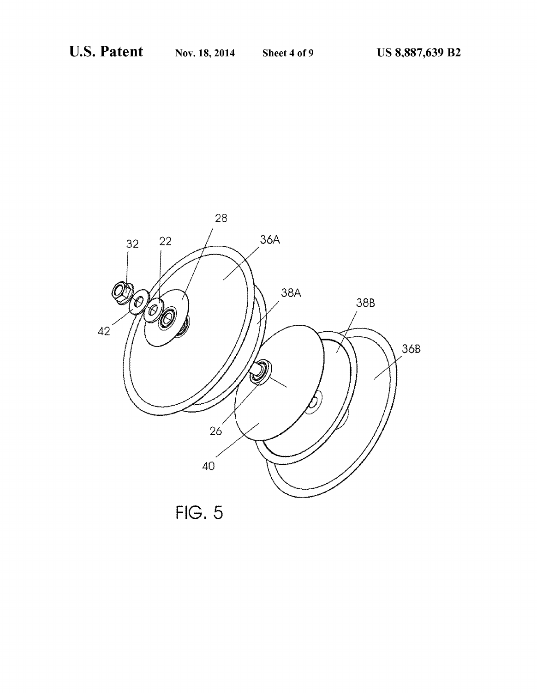

 $FIG. 5$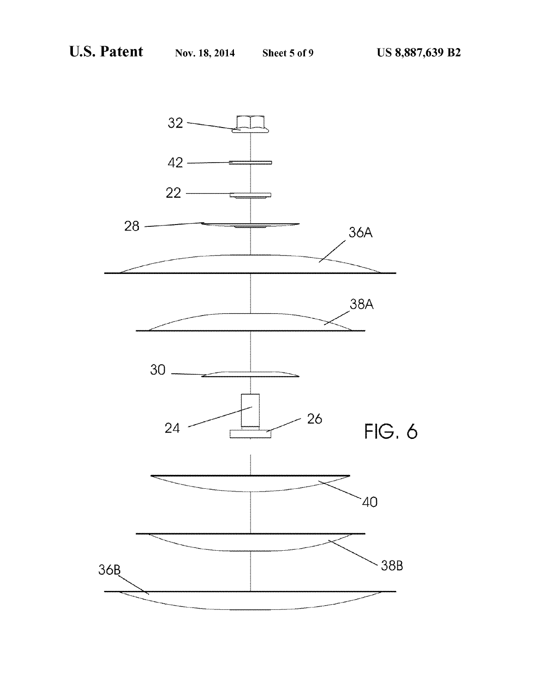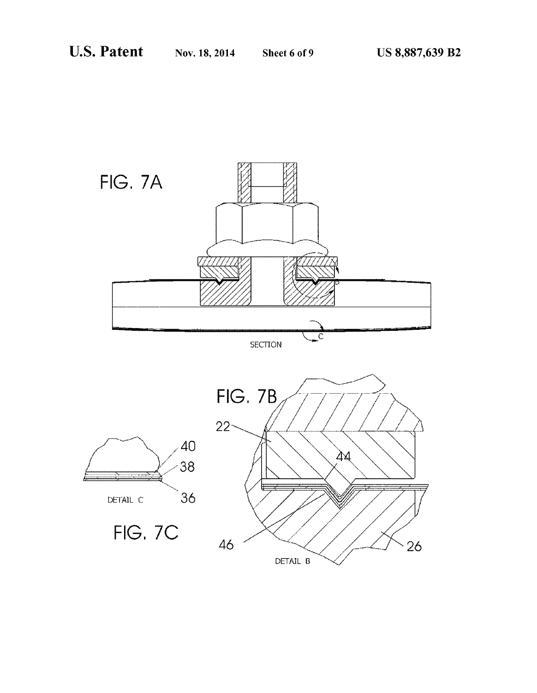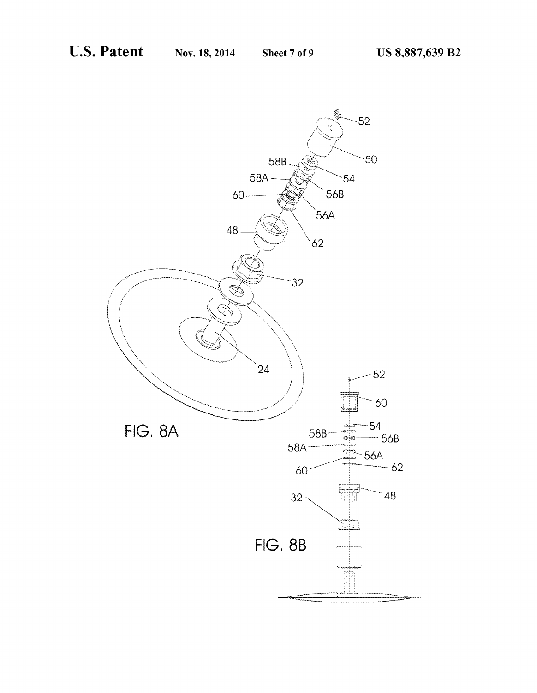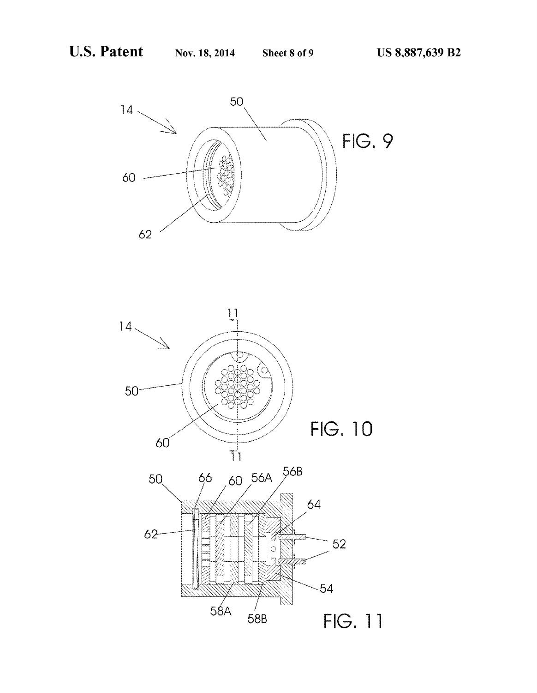

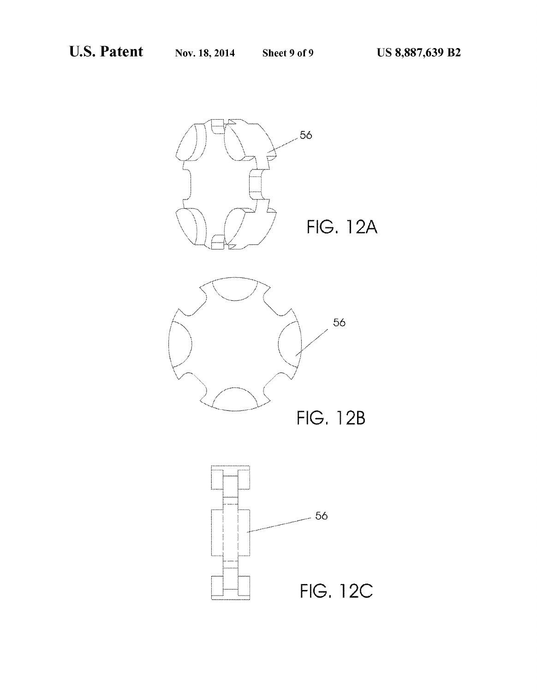

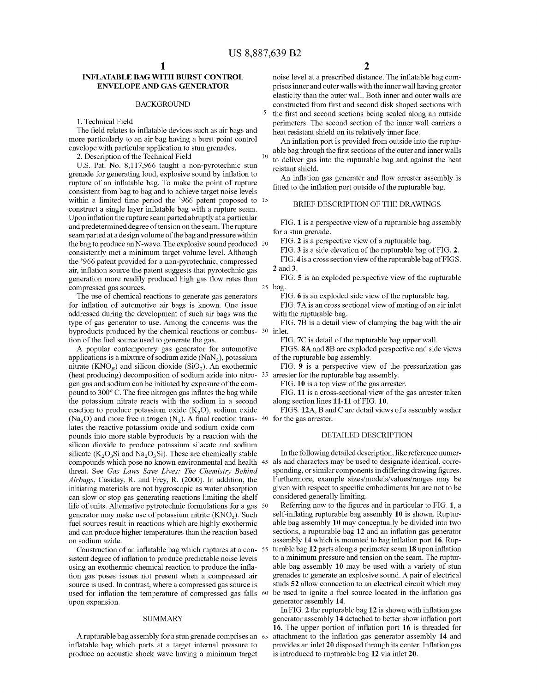10

5

# NFLATABLE BAG WITH BURST CONTROL ENVELOPE AND GAS GENERATOR

### BACKGROUND

1. Technical Field

The field relates to inflatable devices such as air bags and more particularly to an air bag having a burst point control envelope with particular application to stun grenades.

2. Description of the Technical Field

U.S. Pat. No. 8,117,966 taught a non-pyrotechnic stun grenade for generating loud, explosive sound by inflation to rupture of an inflatable bag. To make the point of rupture consistent from bag to bag and to achieve target noise levels within a limited time period the '966 patent proposed to 15 construct a single layer inflatable bag with a rupture seam. Upon inflation the rupture seam parted abruptly at a particular and predetermined degree of tension on the seam. The rupture seam parted at a design volume of the bag and pressure within<br>the bag to produce an N-wave. The explosive sound produced 20 consistently met a minimum target volume level. Although the '966 patent provided for a non-pyrotechnic, compressed air, inflation Source the patent Suggests that pyrotechnic gas generation more readily produced high gas flow rates than compressed gas sources.

The use of chemical reactions to generate gas generators for inflation of automotive air bags is known. One issue addressed during the development of Such air bags was the type of gas generator to use. Among the concerns was the byproducts produced by the chemical reactions or combus- 30 inlet. tion of the fuel Source used to generate the gas.

A popular contemporary gas generator for automotive applications is a mixture of sodium azide  $(NaN<sub>3</sub>)$ , potassium nitrate  $(KNO<sub>B</sub>)$  and silicon dioxide (SiO<sub>2</sub>). An exothermic (heat producing) decomposition of sodium azide into nitro- $35$ gen gas and Sodium can be initiated by exposure of the com pound to 300°C. The free nitrogen gas inflates the bag while the potassium nitrate reacts with the Sodium in a second reaction to produce potassium oxide  $(K_2O)$ , sodium oxide (Na<sub>2</sub>O) and more free nitrogen  $(N_2)$ . A final reaction trans- 40 for the gas arrester. lates the reactive potassium oxide and sodium oxide com pounds into more stable byproducts by a reaction with the silicon dioxide to produce potassium silacate and sodium silicate  $(K_2O_3Si$  and  $Na_2O_3Si$ ). These are chemically stable compounds which pose no known environmental and health 45 als and characters may be used to designate identical, corre threat. See Gas Laws Save Lives: The Chemistry Behind Airbags, Casiday, R. and Frey, R. (2000). In addition, the initiating materials are not hygroscopic as water absorption can slow or stop gas generating reactions limiting the shelf life of units. Alternative pytrotechnic formulations for a gas 50 generator may make use of potassium nitrite  $(KNO<sub>2</sub>)$ . Such fuel sources result in reactions which are highly exothermic and can produce higher temperatures than the reaction based on sodium azide.

Construction of an inflatable bag which ruptures at a consistent degree of inflation to produce predictable noise levels using an exothermic chemical reaction to produce the infla tion gas poses issues not present when a compressed air source is used. In contrast, where a compressed gas source is used for inflation the temperature of compressed gas falls 60 upon expansion.

### SUMMARY

A rupturable bag assembly for a stun grenade comprises an 65 inflatable bag which parts at a target internal pressure to produce an acoustic shock wave having a minimum target

noise level at a prescribed distance. The inflatable bag com prises inner and outer walls with the inner wall having greater elasticity than the outer wall. Both inner and outer walls are constructed from first and second disk shaped sections with the first and second sections being sealed along an outside perimeters. The second section of the inner wall carriers a heat resistant shield on its relatively inner face.

An inflation port is provided from outside into the ruptur able bag through the first sections of the outer and inner walls to deliver gas into the rupturable bag and against the heat

reistant shield. An inflation gas generater and flow arrester assembly is fitted to the inflation port outside of the rupturable bag.

### BRIEF DESCRIPTION OF THE DRAWINGS

FIG. 1 is a perspective view of a rupturable bag assembly for a stun grenade.

FIG. 2 is a perspective view of a rupturable bag.

FIG. 3 is a side elevation of the rupturable bag of FIG. 2.

FIG. 4 is a cross section view of the rupturable bag of FIGS.

2 and 3.

25 bag. FIG. 5 is an exploded perspective view of the rupturable

FIG. 6 is an exploded side view of the rupturable bag.

FIG. 7A is an cross sectional view of mating of an air inlet with the rupturable bag.

FIG. 7B is a detail view of clamping the bag with the air

FIG.7C is detail of the rupturable bag upper wall.

FIGS. 8A and 8B are exploded perspective and side views of the rupturable bag assembly.

FIG. 9 is a perspective view of the pressurization gas arrester for the rupturable bag assembly.

FIG. 10 is a top view of the gas arrester.

FIG. 11 is a cross-sectional view of the gas arrester taken along section lines 11-11 of FIG. 10.

FIGS. 12A, B and C are detail views of a assembly washer

### DETAILED DESCRIPTION

In the following detailed description, like reference numer sponding, or similar components in differing drawing figures. Furthermore, example sizes/models/values/ranges may be given with respect to specific embodiments but are not to be considered generally limiting.

Referring now to the figures and in particular to FIG. 1, a self-inflating rupturable bag assembly 10 is shown. Ruptur able bag assembly 10 may conceptually be divided into two sections, a rupturable bag 12 and an inflation gas generator assembly 14 which is mounted to bag inflation port 16. Rup turable bag 12 parts along a perimeter seam 18 upon inflation to a minimum pressure and tension on the seam. The ruptur able bag assembly 10 may be used with a variety of stun grenades to generate an explosive sound. A pair of electrical studs 52 allow connection to an electrical circuit which may be used to ignite a fuel Source located in the inflation gas generator assembly 14.

In FIG. 2 the rupturable bag 12 is shown with inflation gas generator assembly 14 detached to better show inflation port 16. The upper portion of inflation port 16 is threaded for attachment to the inflation gas generator assembly 14 and provides an inlet 20 disposed through its center. Inflation gas is introduced to rupturable bag 12 via inlet 20.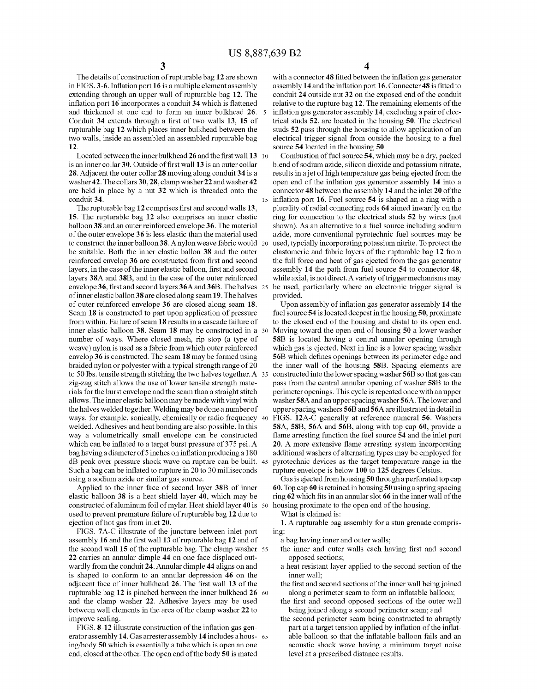15

The details of construction of rupturable bag 12 are shown<br>in FIGS. 3-6. Inflation port 16 is a multiple element assembly extending through an upper wall of rupturable bag 12. The inflation port 16 incorporates a conduit 34 which is flattened and thickened at one end to form an inner bulkhead 26. 5 Conduit 34 extends through a first of two walls 13, 15 of rupturable bag 12 which places inner bulkhead between the two walls, inside an assembled an assembled rupturable bag 12.

Located between the inner bulkhead 26 and the first wall 13 10 is an inner collar 30. Outside of first wall 13 is an outer collar 28. Adjacent the outer collar 28 moving along conduit 34 is a washer 42. The collars 30, 28, clamp washer 22 and washer 42 are held in place by a nut 32 which is threaded onto the conduit 34.

The rupturable bag 12 comprises first and second walls 13, 15. The rupturable bag 12 also comprises an inner elastic balloon 38 and an outer reinforced envelope 36. The material of the outer envelope 36 is less elastic than the material used to construct the inner balloon 38. A nylon weave fabric would 20 be suitable. Both the inner elastic ballon 38 and the outer reinforced envelop 36 are constructed from first and second layers, in the case of the inner elastic balloon, first and second layers 38A and 38B, and in the case of the outer reinforced envelope 36, first and second layers 36A and 36B. The halves 25 of inner elastic ballon38 are closed along seam 19. The halves of outer reinforced envelope 36 are closed along seam 18. Seam 18 is constructed to part upon application of pressure from within. Failure of seam 18 results in a cascade failure of inner elastic balloon 38. Seam 18 may be constructed in a 30 number of ways. Where closed mesh, rip stop (a type of weave) nylon is used as a fabric from which outer reinforced<br>envelop 36 is constructed. The seam 18 may be formed using braided nylon or polyester with a typical strength range of 20 to 50 lbs. tensile strength stitching the two halves together. A 35 zig-zag stitch allows the use of lower tensile strength materials for the burst envelope and the seam than a straight stitch allows. The inner elastic balloon may be made with vinyl with the halves welded together. Welding may be done a number of ways, for example, Sonically, chemically or radio frequency 40 welded. Adhesives and heat bonding are also possible. In this way a Volumetrically small envelope can be constructed which can be inflated to a target burst pressure of 375 psi. A bag having a diameter of 5 inches on inflation producing a 180 dB peak over pressure shock wave on rupture can be built. 45 Such a bag can be inflated to rupture in 20 to 30 milliseconds using a sodium azide or similar gas source.

Applied to the inner face of second layer 38B of inner elastic balloon 38 is a heat shield layer 40, which may be constructed of aluminum foil of mylar. Heat shield layer 40 is 50 used to prevent premature failure of rupturable bag 12 due to ejection of hot gas from inlet 20.<br>FIGS. 7A-C illustrate of the juncture between inlet port

assembly 16 and the first wall 13 of rupturable bag 12 and of the second wall 15 of the rupturable bag. The clamp washer 55 22 carries an annular dimple 44 on one face displaced out wardly from the conduit 24. Annular dimple 44 aligns on and is shaped to conform to an annular depression 46 on the adjacent face of inner bulkhead 26. The first wall 13 of the rupturable bag 12 is pinched between the inner bulkhead 26 60 and the clamp washer 22. Adhesive layers may be used between wall elements in the area of the clamp washer 22 to improve sealing.

FIGS. 8-12 illustrate construction of the inflation gas gen erator assembly 14. Gas arrester assembly 14 includes a hous- 65 ing/body 50 which is essentially a tube which is open an one end, closed at the other. The open end of the body 50 is mated

4

with a connector 48 fitted between the inflation gas generator assembly 14 and the inflation port 16. Connecter 48 is fitted to conduit 24 outside nut 32 on the exposed end of the conduit relative to the rupture bag 12. The remaining elements of the inflation gas generator assembly 14, excluding a pair of elec trical studs 52, are located in the housing 50. The electrical studs 52 pass through the housing to allow application of an electrical trigger signal from outside the housing to a fuel source 54 located in the housing 50.

Combustion of fuel source 54, which may be a dry, packed<br>blend of sodium azide, silicon dioxide and potassium nitrate, results in a jet of high temperature gas being ejected from the open end of the inflation gas generator assembly 14 into a connector 48 between the assembly 14 and the inlet 20 of the inflation port 16. Fuel source 54 is shaped an a ring with a plurality of radial connecting rods 64 aimed inwardly on the ring for connection to the electrical studs 52 by wires (not shown). As an alternative to a fuel source including sodium azide, more conventional pyrotechnic fuel sources may be used, typcially incorporating potassium nitrite. To protect the elastomeric and fabric layers of the rupturable bag 12 from the full force and heat of gas ejected from the gas generator assembly 14 the path from fuel source 54 to connector 48, while axial, is not direct. A variety of trigger mechanisms may be used, particularly where an electronic trigger signal is provided.

Upon assembly of inflation gas generator assembly 14 the fuel source 54 is located deepest in the housing 50, proximate to the closed end of the housing and distal to its open end. Moving toward the open end of housing 50 a lower washer 58B is located having a central annular opening through which gas is ejected. Next in line is a lower spacing washer 56B which defines openings between its perimeter edge and the inner wall of the housing 58B. Spacing elements are constructed into the lower spacing washer 56B so that gas can pass from the central annular opening of washer 58B to the perimeter openings. This cycle is repeated once with an upper washer 58A and an upper spacing washer 56A. The lower and upper spacing washers 56B and 56A are illustrated in detail in FIGS. 12A-C generally at reference numeral 56. Washers 58A, 58B, 56A and 56B, along with top cap 60, provide a flame arresting function the fuel source 54 and the inlet port **20.** A more extensive flame arresting system incorporating additional washers of alternating types may be employed for pyrotechnic devices as the target temperature range in the rupture envelope is below 100 to 125 degrees Celsius.

Gas is ejected from housing 50 through a perforated top cap 60. Top cap 60 is retained in housing 50 using a spring spacing ring 62 which fits in an annular slot 66 in the inner wall of the housing proximate to the open end of the housing.

What is claimed is:

1. A rupturable bag assembly for a stun grenade compris 1ng:

a bag having inner and outer walls;

- the inner and outer walls each having first and second opposed sections;
- a heat resistant layer applied to the second section of the inner wall;
- the first and second sections of the inner wall being joined along a perimeter seam to form an inflatable balloon;
- the first and second opposed sections of the outer wall being joined along a second perimeter seam; and
- the second perimeter seam being constructed to abruptly part at a target tension applied by inflation of the inflat able balloon so that the inflatable balloon fails and an acoustic shock wave having a minimum target noise level at a prescribed distance results.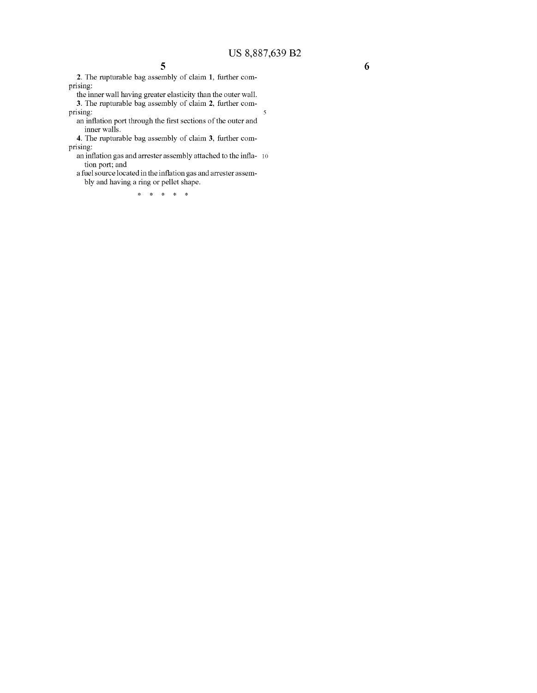2. The rupturable bag assembly of claim 1, further com prising:

the inner wall having greater elasticity than the outer wall.

3. The rupturable bag assembly of claim 2, further com prising: 5

an inflation port through the first sections of the outer and inner walls.

4. The rupturable bag assembly of claim 3, further com prising:

an inflation gas and arrester assembly attached to the infla- 10 tion port; and

a fuel source located in the inflation gas and arrester assem bly and having a ring or pellet shape.

k k k k k